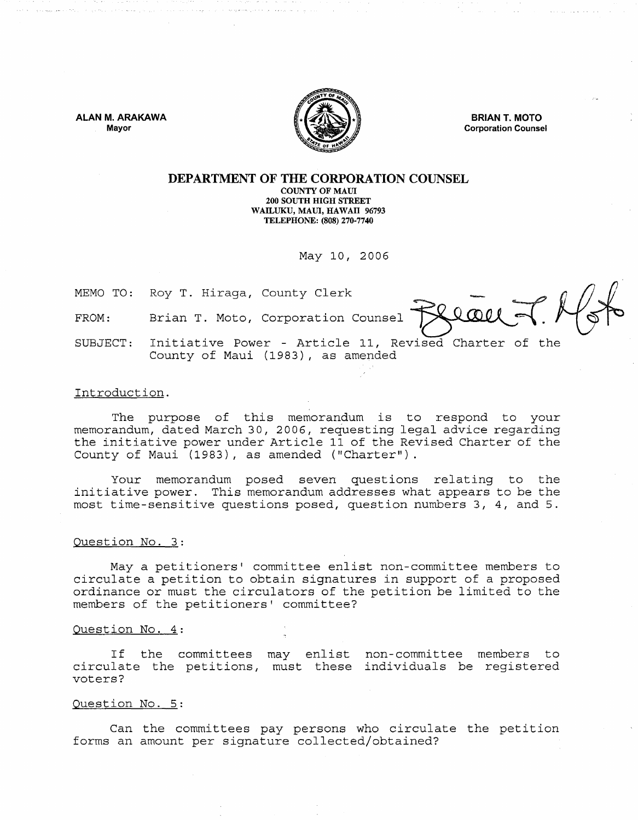**ALAN M. ARAKAWA**  Mayor



**BRIAN T. MOTO**  Corporation Counsel

#### **DEPARTMENT OF THE CORPORATION COUNSEL**  COUNTY OF MAUl 200 SOUTH HIGH STREET WAILUKU, MAUl, HAWAII 96793 TELEPHONE: (808) 270·7740

May 10, 2006

MEMO TO: Roy T. Hiraga, County Clerk

FROM: Brian T. Moto, Corporation Counsel

SUBJECT: Initiative Power - Article 11, Revised Charter of the County of Maui (1983), as amended

# Introduction.

The purpose of this memorandum is to respond to your memorandum, dated March 30, 2006, requesting legal advice regarding the initiative power under Article 11 of the Revised Charter of the County of Maui (1983), as amended ("Charter").

Your memorandum posed seven questions relating to the initiative power. This memorandum addresses what appears to be the most time-sensitive questions posed, question numbers 3, 4, and 5.

## Question No. 3:

Maya petitioners' committee enlist non-committee members to circulate a petition to obtain signatures in support of a proposed ordinance or must the circulators of the petition be limited to the members of the petitioners' committee?

#### Question No. 4:

If the committees may enlist non-committee members to circulate the petitions, must these individuals be registered voters?

## Question No. 5:

Can the committees pay persons who circulate the petition forms an amount per signature collected/obtained?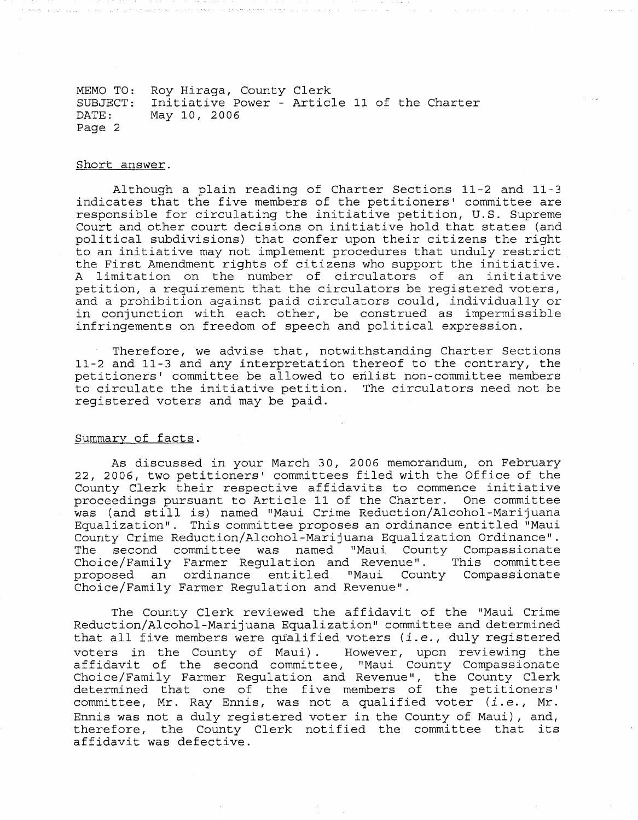MEMO TO: SUBJECT: DATE: Page 2 Roy Hiraga, County Clerk Initiative Power - Article 11 of the Charter May 10, 2006

# Short answer.

Although a plain reading of Charter Sections 11-2 and 11-3 indicates that the five members of the petitioners' committee are responsible for circulating the initiative petition, U.S. Supreme Court and other court decisions on initiative hold that states (and political subdivisions) that confer upon their citizens the right to an initiative may not implement procedures that unduly restrict the First Amendment rights of citizens who support the initiative. A limitation on the number of circulators of an initiative petition, a requirement that the circulators be registered voters, and a prohibition against paid circulators could, individually or in conjunction with each other, be construed as impermissible infringements on freedom of speech and political expression.

Therefore, we advise that, notwithstanding Charter Sections 11-2 and 11-3 and any interpretation thereof to the contrary, the petitioners' committee be allowed to enlist non-committee members to circulate the initiative petition. The circulators need not be registered voters and may be paid.

## Summary of facts.

As discussed in your March 30, 2006 memorandum, on February 22, 2006, two petitioners' committees filed with the Office of the County Clerk their respective affidavits to commence initiative proceedings pursuant to Article 11 of the Charter. One committee was (and still is) named "Maui Crime Reduction/Alcohol-Marijuana Equalization". This committee proposes an ordinance entitled "Maui County Crime Reduction/Alcohol-Marijuana Equalization Ordinance". The second committee was named "Maui County Compassionate Choice/Family Farmer Regulation and Revenue". This committee Choice/Family Farmer Regulation and Revenue". This committee<br>proposed an ordinance entitled "Maui County Compassionate Choice/Family Farmer Regulation and Revenue".

The County Clerk reviewed the affidavit of the "Maui Crime Reduction/Alcohol-Marijuana Equalization" committee and determined that all five members were qualified voters *(i.e.,* duly registered voters in the County of Maui). However, upon reviewing the affidavit of the second committee, "Maui County Compassionate Choice/Family Farmer Regulation and Revenue", the County Clerk determined that one of the five members of the petitioners' committee, Mr. Ray Ennis, was not a qualified voter *(i.e.,* Mr. Ennis was not a duly registered voter in the County of Maui), and, therefore, the County Clerk notified the committee that its affidavit was defective.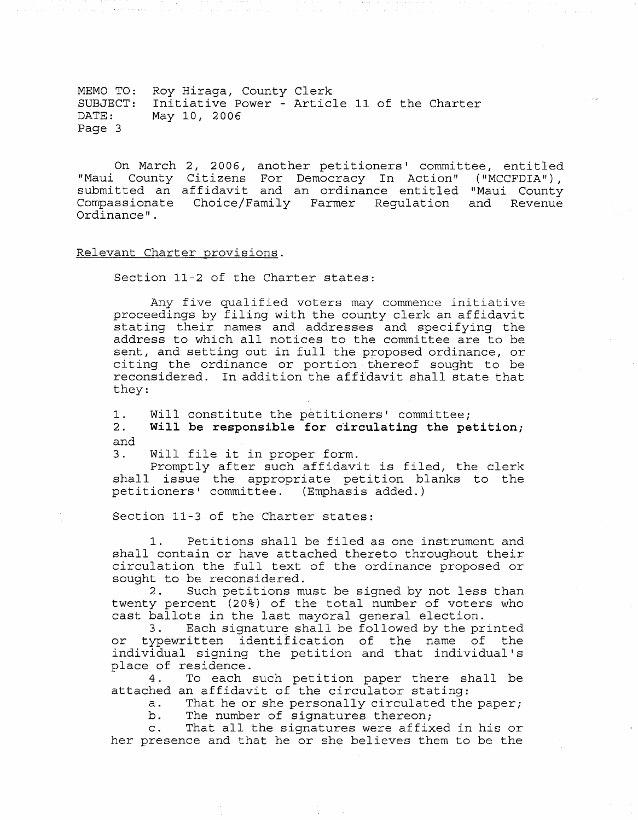MEMO TO: Roy Hiraga, County Clerk SUBJECT: Initiative Power - Article 11 of the Charter May 10, 2006 Page 3

On March 2, 2006, another petitioners' committee, entitled "Maui County Citizens For Democracy In Action" ("MCCFDIA"), submitted an affidavit and an ordinance entitled "Maui County Compassionate Choice/Family Farmer Regulation and Revenue Ordinance" .

## Relevant Charter provisions.

Section 11-2 of the Charter states:

Any five qualified voters may commence initiative proceedings by filing with the county clerk an affidavit stating their names and addresses and specifying the address to which all notices to the committee are to be sent, and setting out in full the proposed ordinance, or citing the ordinance or portion thereof sought to be reconsidered. In addition the affidavit shall state that they:

1. Will constitute the petitioners' committee;<br>2. Will be responsible for circulating the pe Will be responsible for circulating the petition; and

3. Will file it in proper form.

Promptly after such affidavit is filed, the clerk shall issue the appropriate petition blanks to the petitioners' committee. (Emphasis added.)

Section 11-3 of the Charter states:

1. Petitions shall be filed as one instrument and shall contain or have attached thereto throughout their circulation the full text of the ordinance proposed or sought to be reconsidered.<br>2. Such petitions mu

Such petitions must be signed by not less than twenty percent (20%) of the total number of voters who cast ballots in the last mayoral general election.

Each signature shall be followed by the printed or typewritten identification of the name of the individual signing the petition and that individual's place of residence.

4. To each such petition paper there shall be attached an affidavit of the circulator stating:

a. That he or she personally circulated the paper;

b. The number of signatures thereon;

c. That all the signatures were affixed in his or her presence and that he or she believes them to be the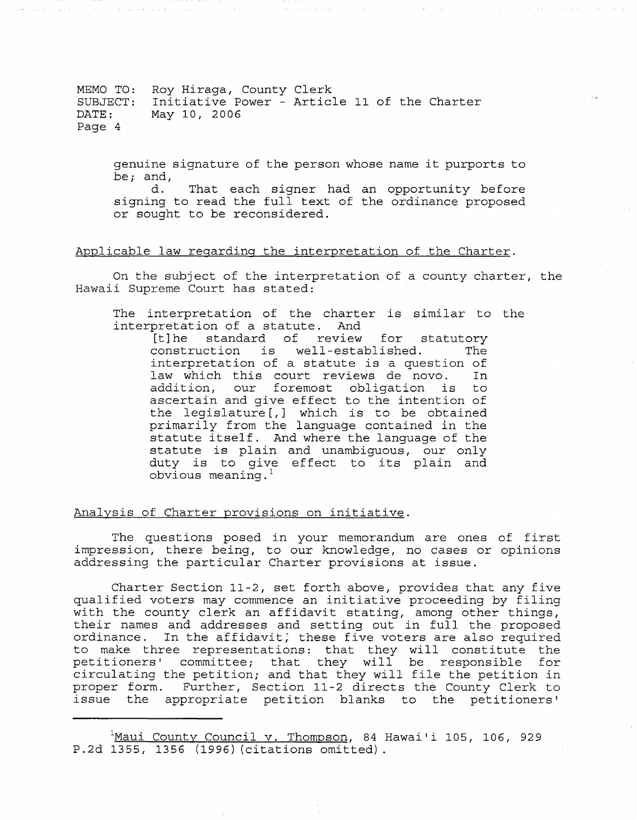MEMO TO: Roy Hiraga, County Clerk SUBJECT: Initiative Power - Article 11 of the Charter<br>DATE: May 10, 2006 May 10, 2006 Page 4

genuine signature of the person whose name it purports to be; and,  $\frac{d}{d}$ .

That each signer had an opportunity before signing to read the full text of the ordinance proposed or sought to be reconsidered.

# Applicable law regarding the interpretation of the Charter.

On the subject of the interpretation of a county charter, the Hawaii Supreme Court has stated:

The interpretation of the charter is similar to the interpretation of a statute. And

[t] he standard of review for statutory<br>construction is well-established. The construction is well-established. interpretation of a statute is a question of law which this court reviews de novo. addition, our foremost obligation is to ascertain and give effect to the intention of the legislature [,] which is to be obtained primarily from the language contained in the statute itself. And where the language of the statute is plain and unambiguous, our only duty is to give effect to its plain and obvious meaning. $<sup>1</sup>$ </sup>

Analysis of Charter provisions on initiative.

The questions posed in your memorandum are ones of first impression, there being, to our knowledge, no cases or opinions addressing the particular Charter provisions at issue.

Charter Section 11-2, set forth above, provides that any five qualified voters may commence an initiative proceeding by filing with the county clerk an affidavit stating, among other things, their names and addresses and setting out in full the proposed ordinance. In the affidavit; these five voters are also required to make three representations: that they will constitute the petitioners' committee; that they will be responsible for circulating the petition; and that they will file the petition in proper form. Further, Section 11-2 directs the County Clerk to issue the appropriate petition blanks to the petitioners'

<sup>&</sup>lt;sup>1</sup>Maui County Council v. Thompson, 84 Hawai'i 105, 106, 929 P.2d 1355, 1356 (1996) (citations omitted).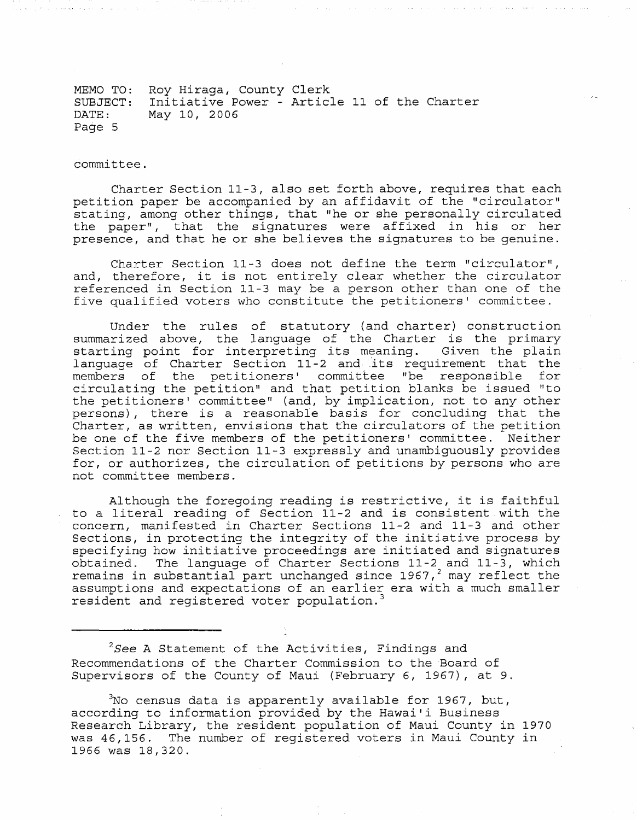MEMO TO: Roy Hiraga, County Clerk SUBJECT: Initiative Power - Article 11 of the Charter DATE: Page 5 May 10, 2006

committee.

Charter Section 11-3, also set forth above, requires that each petition paper be accompanied by an affidavit of the "circulator" stating, among other things, that "he or she personally circulated the paper", that the signatures were affixed in his or her presence, and that he or she believes the signatures to be genuine.

Charter Section 11-3 does not define the term "circulator", and, therefore, it is not entirely clear whether the circulator referenced in Section 11 3 may be a person other than one of the five qualified voters who constitute the petitioners' committee.

Under the rules of statutory (and charter) construction summarized above, the language of the Charter is the primary starting point for interpreting its meaning. Given the plain language of Charter Section 11-2 and its requirement that the<br>members of the petitioners' committee "be responsible for members of the petitioners' committee "be responsible circulating the petition" and that petition blanks be issued "to the petitioners' committee" (and, by implication, not to any other persons), there is a reasonable basis for concluding that the Charter, as written, envisions that the circulators of the petition be one of the five members of the petitioners' committee. Neither Section 11-2 nor Section 11-3 expressly and unambiguously provides for, or authorizes, the circulation of petitions by persons who are not committee members.

Although the foregoing reading is restrictive, it is faithful to a literal reading of Section 11-2 and is consistent with the concern, manifested in Charter Sections 11-2 and 11-3 and other Sections, in protecting the integrity of the initiative process by specifying how initiative proceedings are initiated and signatures obtained. The language of Charter Sections 11-2 and 11-3, which  $\frac{1}{2}$  remains in substantial part unchanged since 1967, $\frac{2}{7}$  may reflect the assumptions and expectations of an earlier era with a much smaller resident and registered voter population.<sup>3</sup>

*2See* A Statement of the Activities, Findings and Recommendations of the Charter Commission to the Board of Supervisors of the County of Maui (February 6, 1967), at 9.

 $3N$ o census data is apparently available for 1967, but, according to information provided by the Hawai'i Business Research Library, the resident population of Maui County in 1970 was 46,156. The number of registered voters in Maui County in 1966 was 18,320.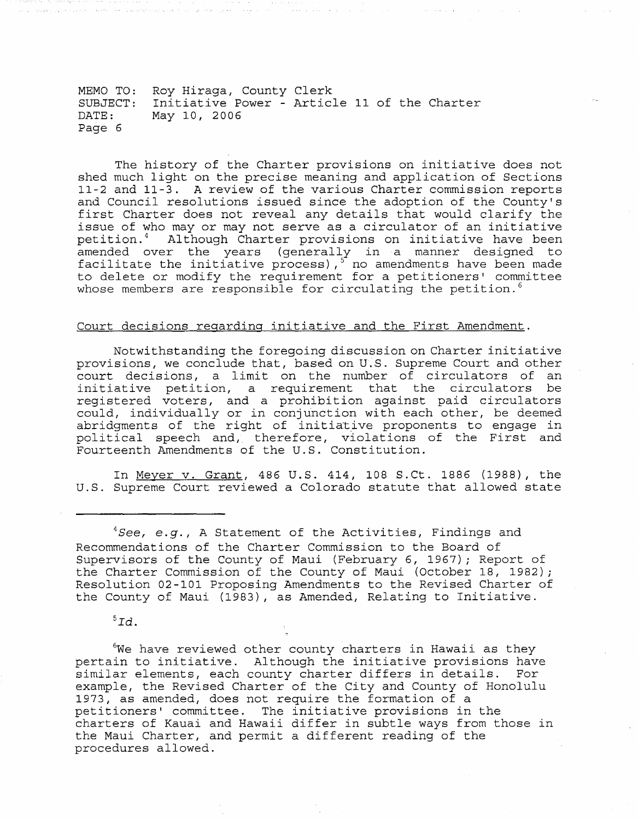MEMO TO: Roy Hiraga, County Clerk SUBJECT: Initiative Power - Article 11 of the Charter DATE: Page 6 May 10, 2006

The history of the Charter provisions on initiative does not shed much light on the precise meaning and application of Sections 11-2 and 11-3. A review of the various Charter commission reports and Council resolutions issued since the adoption of the County's first Charter does not reveal any details that would clarify the issue of who may or may not serve as a circulator of an initiative petition. 4 Although Charter provisions on initiative have been amended over the years (generally in a manner designed to  $f_{\text{accilitate}}$  the initiative process),  $5$  no amendments have been made to delete or modify the requirement for a petitioners' committee whose members are responsible for circulating the petition.<sup>6</sup>

# Court decisions regarding initiative and the First Amendment.

Notwithstanding the foregoing discussion on Charter initiative provisions, we conclude that, based on u.s. Supreme Court and other court decisions, a limit on the number of circulators of an initiative petition, a requirement that the circulators registered voters, and a prohibition against paid circulators could, individually or in conjunction with each other, be deemed abridgments of the right of initiative proponents to engage in political speech and, therefore, violations of the First and Fourteenth Amendments of the U.S. Constitution.

In Meyer v. Grant, 486 U.S. 414, 108 S.Ct. 1886 (1988), the U.S. Supreme Court reviewed a Colorado statute that allowed state

 ${}^5Id$ .

<sup>6</sup>We have reviewed other county charters in Hawaii as they pertain to initiative. Although the initiative provisions have similar elements, each county charter differs in details. For example, the Revised Charter of the City and County of Honolulu 1973, as amended, does not require the formation of a petitioners' committee. The initiative provisions in the charters of Kauai and Hawaii differ in subtle ways from those in the Maui Charter, and permit a different reading of the procedures allowed.

*<sup>4</sup>See , e.g.,* A Statement of the Activities, Findings and Recommendations of the Charter Commission to the Board of Supervisors of the County of Maui (February 6, 1967) *i* Report of the Charter Commission of the County of Maui (October 18, 1982) *<sup>i</sup>* Resolution 02-101 Proposing Amendments to the Revised Charter of the County of Maui (1983), as Amended, Relating to Initiative.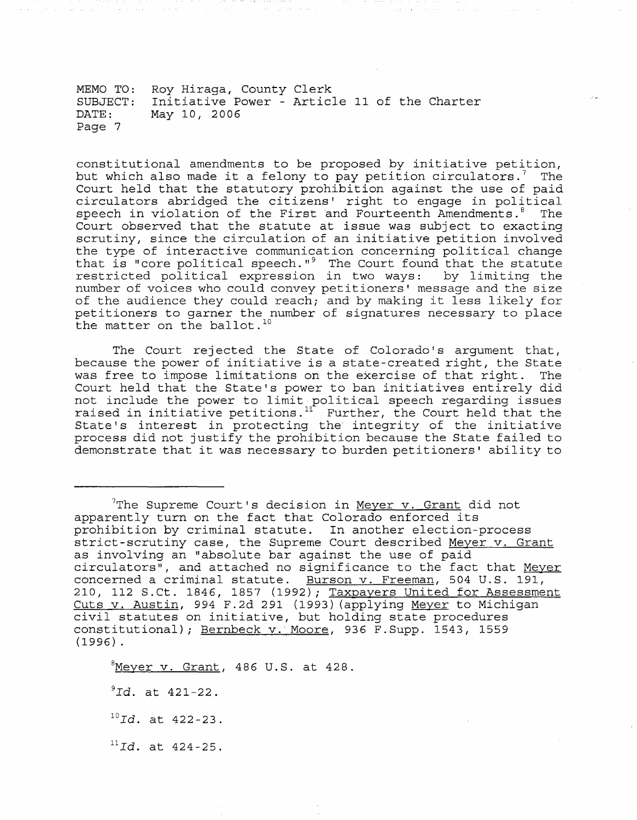MEMO TO: Roy Hiraga, County Clerk SUBJECT: Initiative Power - Article 11 of the Charter DATE: Page 7 May 10, 2006

constitutional amendments to be proposed by initiative petition, but which also made it a felony to pay petition circulators.<sup>7</sup> The Court held that the statutory prohibition against the use of paid circulators abridged the citizens' right to engage in political speech in violation of the First and Fourteenth Amendments.<sup>8</sup> The Court observed that the statute at issue was subject to exacting scrutiny, since the circulation of an initiative petition involved the type of interactive communication concerning political change that is "core political speech." $9$  The Court found that the statute restricted political expression in two ways: by limiting the number of voices who could convey petitioners' message and the size of the audience they could reach; and by making it less likely for petitioners to garner the number of signatures necessary to place the matter on the ballot.<sup>10</sup>

The Court rejected the State of Colorado's argument that, because the power of initiative is a state-created right, the State was free to impose limitations on the exercise of that right. The was free to impose limitations on the exercise of that right. Court held that the State's power to ban initiatives entirely did not include the power to limit political speech regarding issues<br>raised in initiative petitions.<sup>11</sup> Further, the Court held that the raised in initiative petitions. That their, the court herd that the<br>State's interest in protecting the integrity of the initiative process did not justify the prohibition because the State failed to demonstrate that it was necessary to burden petitioners' ability to

The Supreme Court's decision in Meyer v. Grant did not apparently turn on the fact that Colorado enforced its prohibition by criminal statute. In another election-process strict-scrutiny case, the Supreme Court described Meyer v. Grant as involving an "absolute bar against the use of paid circulators", and attached no significance to the fact that Meyer concerned a criminal statute. Burson v. Freeman, 504 U.S. 191, 210, 112 S.Ct. 1846, 1857 (1992); Taxpayers United for Assessment Cuts v. Austin, 994 F.2d 291 (1993) (applying Meyer to Michigan civil statutes on initiative, but holding state procedures constitutional); Bernbeck v. Moore, 936 F.Supp. 1543, 1559 (1996) .

 $8$ Meyer v. Grant, 486 U.S. at 428.

<sup>9</sup>Id. at 421-22.

*lOId.* at 422-23.

*HId.* at 424-25.